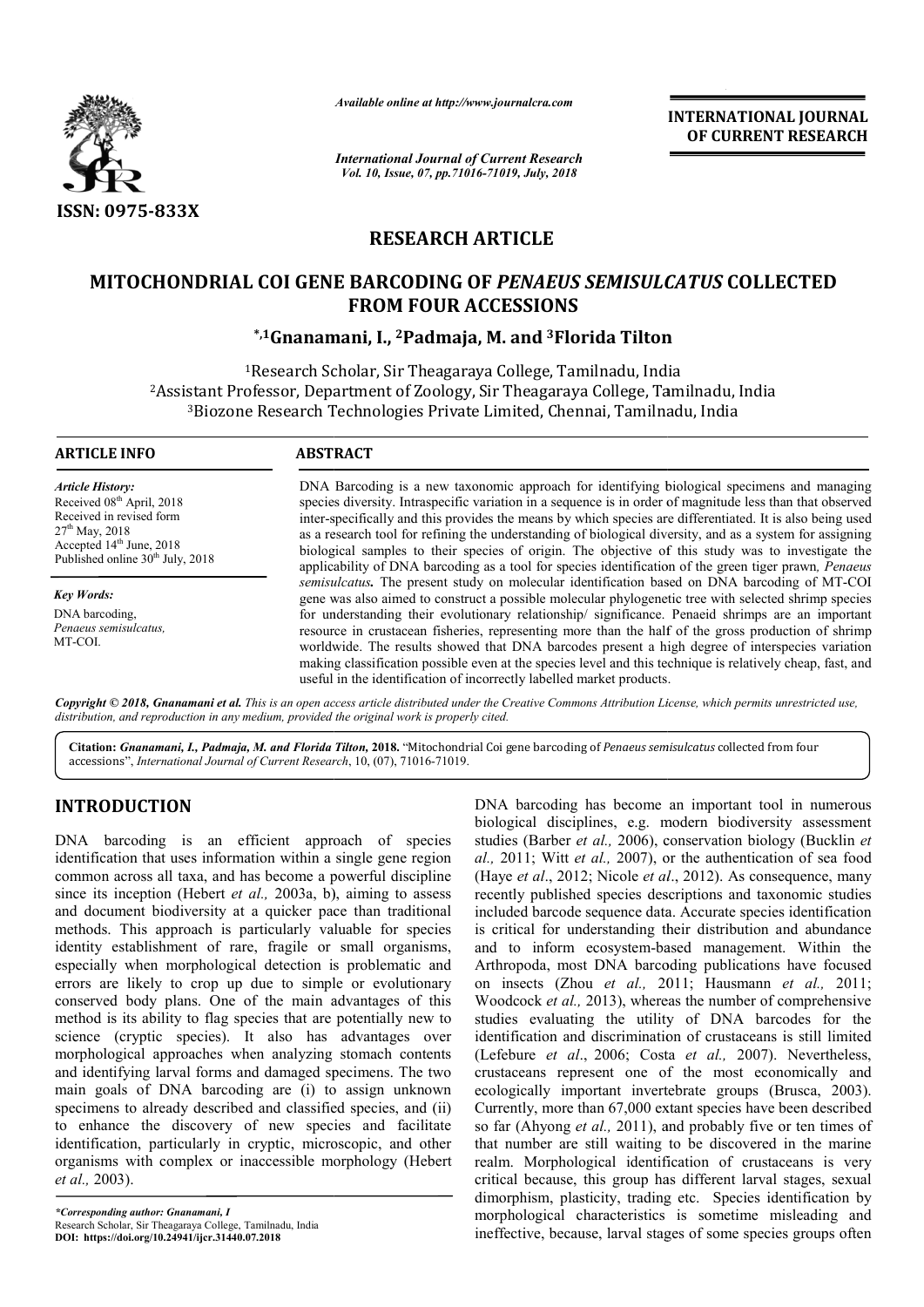

*Available online at http://www.journalcra.com*

*International Journal of Current Research Vol. 10, Issue, 07, pp.71016-71019, July, 2018*

**INTERNATIONAL JOURNAL OF CURRENT RESEARCH**

# **RESEARCH ARTICLE**

# **MITOCHONDRIAL COI GENE BARCODING OF**  *PENAEUS SEMISULCATUS* **COLLECTED FROM FOUR ACCESSIONS**

## **\*,1Gnanamani Gnanamani, I., 2Padmaja, M. and 3Florida Tilton Florida Tilton**

<sup>1</sup>Research Scholar, Sir Theagaraya College, Tamilnadu, India <sup>2</sup>Assistant Professor, Department of Zoology, Sir Theagaraya College, Tamilnadu, India <sup>3</sup>Biozone Research Technologies Private Limited, Chennai, Tamilnadu, India

#### **ARTICLE INFO ABSTRACT**

*Article History:* Received 08<sup>th</sup> April, 2018 Received in revised form  $27^{\rm th}$  May,  $2018$ Accepted 14<sup>th</sup> June, 2018 Published online  $30<sup>th</sup>$  July, 2018

*Key Words:* DNA barcoding, *Penaeus semisulcatus,* MT-COI.

DNA Barcoding is a new taxonomic approach for identifying biological specimens and managing species diversity. Intraspecific variation in a sequence is in order of magnitude less than that observed inter-specifically and this provides the means by which species are differentiated. It is also bein as a research tool for refining the understanding of biological diversity, and as a system for assigning biological samples to their species of origin. The objective of this study was to investigate the applicability of DNA barcoding as a tool for species identification of the green tiger prawn semisulcatus. The present study on molecular identification based on DNA barcoding of MT-COI gene was also aimed to construct a possible molecular phylogenetic tree with selected shrimp species gene was also aimed to construct a possible molecular phylogenetic tree with selected shrimp species for understanding their evolutionary relationship/ significance. Penaeid shrimps are an important resource in crustacean fisheries, representing more than the half of the gross production of shrimp resource in crustacean fisheries, representing more than the half of the gross production of shrimp worldwide. The results showed that DNA barcodes present a high degree of interspecies variation making classification possible even at the species level and this technique is relatively cheap, fast, and useful in the identification of incorrectly labelled market products. is a new taxonomic approach for identifying biological specimens and managing Intraspecific variation in a sequence is in order of magnitude less than that observed and this provides the means by which species are differen research tool for refining the understanding of biological diversity, and as a system for assigning<br>ogical samples to their species of origin. The objective of this study was to investigate the<br>icability of DNA barcoding a

Copyright © 2018, Gnanamani et al. This is an open access article distributed under the Creative Commons Attribution License, which permits unrestricted use, *distribution, and reproduction in any medium, provided the original work is properly cited.*

Citation: Gnanamani, I., Padmaja, M. and Florida Tilton, 2018. "Mitochondrial Coi gene barcoding of Penaeus semisulcatus collected from four accessions", *International Journal of Current Research* , 10, (07), 71016-71019.

## **INTRODUCTION**

DNA barcoding is an efficient approach of species identification that uses information within a single gene region common across all taxa, and has become a powerful discipline since its inception (Hebert *et al.*, 2003a, b), aiming to assess and document biodiversity at a quicker pace than traditional methods. This approach is particularly valuable for species identity establishment of rare, fragile or small organisms, especially when morphological detection is problematic and errors are likely to crop up due to simple or evolutionary conserved body plans. One of the main advantages of this method is its ability to flag species that are potentially new to science (cryptic species). It also has advantages over morphological approaches when analyzing stomach contents and identifying larval forms and damaged specimens. The two main goals of DNA barcoding are (i) to assign unknown specimens to already described and classified species, and (ii) to enhance the discovery of new species and facilitate identification, particularly in cryptic, microscopic, and other identification, particularly in cryptic, microscopic, and other organisms with complex or inaccessible morphology (Hebert *et al.,* 2003).

DNA barcoding has become an important tool in numerous biological disciplines, e.g. modern biodiversity assessment biological disciplines, e.g. modern biodiversity assessment studies (Barber *et al.*, 2006), conservation biology (Bucklin *et* al., 2011; Witt et al., 2007), or the authentication of sea food (Haye *et al.*, 2012; Nicole *et al.*, 2012). As consequence, many recently published species descriptions and taxonomic studies included barcode sequence data. Accurate species identification is critical for understanding their distribution and abundance is critical for understanding their distribution and abundance<br>and to inform ecosystem-based management. Within the Arthropoda, most DNA barcoding publications have focused on insects (Zhou *et al.,* 2011; Hausmann *et al.,* 2011; Woodcock *et al.,* 2013), whereas the number of comprehensive studies evaluating the utility of DNA barcodes for the identification and discrimination of crustaceans is still limited studies evaluating the utility of DNA barcodes for the identification and discrimination of crustaceans is still limited (Lefebure *et al.*, 2006; Costa *et al.*, 2007). Nevertheless, crustaceans represent one of the most economically and ecologically important invertebrate groups (Brusca, 2003). Currently, more than 67,000 extant species have been described so far (Ahyong *et al.,* 2011), and probably five or ten times of that number are still waiting to be discovered realm. Morphological identification of crustaceans is very critical because, this group has different larval stages, sexual dimorphism, plasticity, trading etc. Species identification by morphological characteristics is sometime misleading a ineffective, because, larval stages of some species groups often ently, more than 67,000 extant species have been described r (Ahyong *et al.*, 2011), and probably five or ten times of number are still waiting to be discovered in the marine logical identification of crustaceans is very<br>this group has different larval stages, sexual<br>asticity, trading etc. Species identification by<br>characteristics is sometime misleading and **FIONAL JOURNAL**<br> **RENT RESEARCH**<br> **RENT RESEARCH**<br> **RENT RESEARCH**<br> **RENT RESEARCH**<br> **COLLECTED**<br> **OLLECTED**<br> **OLLECTED**<br> **OLLECTED**<br> **OLLECTED**<br> **COLUTE AND**<br> **COLUTE AND**<br> **COLUTE AND**<br> **COLUTE AND**<br> **COLUTE AND**<br> **COL** 

*<sup>\*</sup>Corresponding author: Gnanamani, I* Research Scholar, Sir Theagaraya College, Tamilnadu, India **DOI: https://doi.org/10.24941/ijcr.31440.07.2018**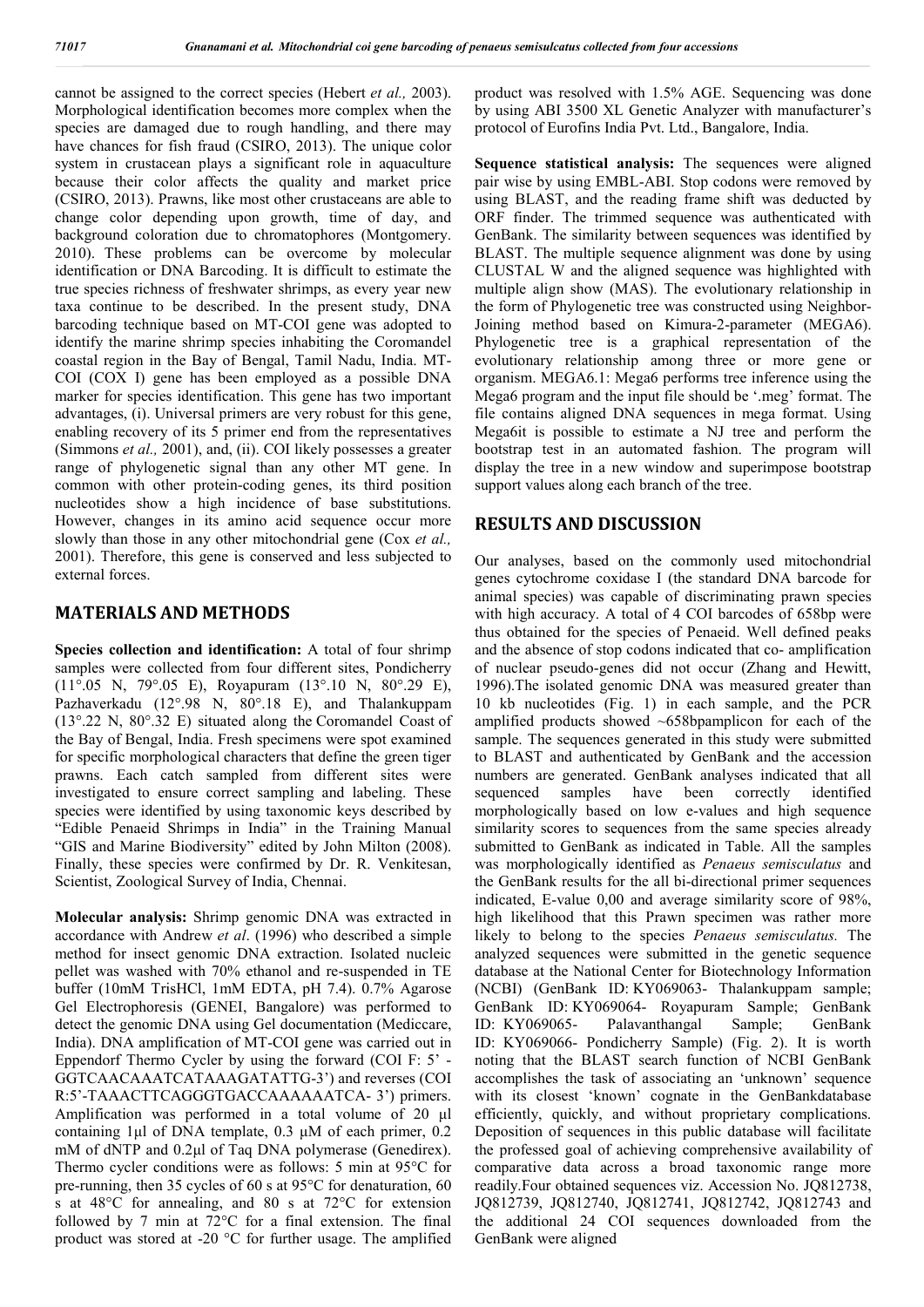cannot be assigned to the correct species (Hebert *et al.,* 2003). Morphological identification becomes more complex when the species are damaged due to rough handling, and there may have chances for fish fraud (CSIRO, 2013). The unique color system in crustacean plays a significant role in aquaculture because their color affects the quality and market price (CSIRO, 2013). Prawns, like most other crustaceans are able to change color depending upon growth, time of day, and background coloration due to chromatophores (Montgomery. 2010). These problems can be overcome by molecular identification or DNA Barcoding. It is difficult to estimate the true species richness of freshwater shrimps, as every year new taxa continue to be described. In the present study, DNA barcoding technique based on MT-COI gene was adopted to identify the marine shrimp species inhabiting the Coromandel coastal region in the Bay of Bengal, Tamil Nadu, India. MT-COI (COX I) gene has been employed as a possible DNA marker for species identification. This gene has two important advantages, (i). Universal primers are very robust for this gene, enabling recovery of its 5 primer end from the representatives (Simmons *et al.,* 2001), and, (ii). COI likely possesses a greater range of phylogenetic signal than any other MT gene. In common with other protein-coding genes, its third position nucleotides show a high incidence of base substitutions. However, changes in its amino acid sequence occur more slowly than those in any other mitochondrial gene (Cox *et al.,* 2001). Therefore, this gene is conserved and less subjected to external forces.

## **MATERIALS AND METHODS**

**Species collection and identification:** A total of four shrimp samples were collected from four different sites, Pondicherry (11°.05 N, 79°.05 E), Royapuram (13°.10 N, 80°.29 E), Pazhaverkadu (12°.98 N, 80°.18 E), and Thalankuppam (13°.22 N, 80°.32 E) situated along the Coromandel Coast of the Bay of Bengal, India. Fresh specimens were spot examined for specific morphological characters that define the green tiger prawns. Each catch sampled from different sites were investigated to ensure correct sampling and labeling. These species were identified by using taxonomic keys described by "Edible Penaeid Shrimps in India" in the Training Manual "GIS and Marine Biodiversity" edited by John Milton (2008). Finally, these species were confirmed by Dr. R. Venkitesan, Scientist, Zoological Survey of India, Chennai.

**Molecular analysis:** Shrimp genomic DNA was extracted in accordance with Andrew *et al*. (1996) who described a simple method for insect genomic DNA extraction. Isolated nucleic pellet was washed with 70% ethanol and re-suspended in TE buffer (10mM TrisHCl, 1mM EDTA, pH 7.4). 0.7% Agarose Gel Electrophoresis (GENEI, Bangalore) was performed to detect the genomic DNA using Gel documentation (Mediccare, India). DNA amplification of MT-COI gene was carried out in Eppendorf Thermo Cycler by using the forward (COI F: 5' - GGTCAACAAATCATAAAGATATTG-3') and reverses (COI R:5'-TAAACTTCAGGGTGACCAAAAAATCA- 3') primers. Amplification was performed in a total volume of 20 μl containing 1μl of DNA template, 0.3 μM of each primer, 0.2 mM of dNTP and 0.2μl of Taq DNA polymerase (Genedirex). Thermo cycler conditions were as follows: 5 min at 95°C for pre-running, then 35 cycles of 60 s at 95°C for denaturation, 60 s at 48°C for annealing, and 80 s at 72°C for extension followed by 7 min at 72°C for a final extension. The final product was stored at -20 °C for further usage. The amplified

product was resolved with 1.5% AGE. Sequencing was done by using ABI 3500 XL Genetic Analyzer with manufacturer's protocol of Eurofins India Pvt. Ltd., Bangalore, India.

**Sequence statistical analysis:** The sequences were aligned pair wise by using EMBL-ABI. Stop codons were removed by using BLAST, and the reading frame shift was deducted by ORF finder. The trimmed sequence was authenticated with GenBank. The similarity between sequences was identified by BLAST. The multiple sequence alignment was done by using CLUSTAL W and the aligned sequence was highlighted with multiple align show (MAS). The evolutionary relationship in the form of Phylogenetic tree was constructed using Neighbor-Joining method based on Kimura-2-parameter (MEGA6). Phylogenetic tree is a graphical representation of the evolutionary relationship among three or more gene or organism. MEGA6.1: Mega6 performs tree inference using the Mega6 program and the input file should be '.meg' format. The file contains aligned DNA sequences in mega format. Using Mega6it is possible to estimate a NJ tree and perform the bootstrap test in an automated fashion. The program will display the tree in a new window and superimpose bootstrap support values along each branch of the tree.

## **RESULTS AND DISCUSSION**

Our analyses, based on the commonly used mitochondrial genes cytochrome coxidase I (the standard DNA barcode for animal species) was capable of discriminating prawn species with high accuracy. A total of 4 COI barcodes of 658bp were thus obtained for the species of Penaeid. Well defined peaks and the absence of stop codons indicated that co- amplification of nuclear pseudo-genes did not occur (Zhang and Hewitt, 1996).The isolated genomic DNA was measured greater than 10 kb nucleotides (Fig. 1) in each sample, and the PCR amplified products showed ~658bpamplicon for each of the sample. The sequences generated in this study were submitted to BLAST and authenticated by GenBank and the accession numbers are generated. GenBank analyses indicated that all sequenced samples have been correctly identified morphologically based on low e-values and high sequence similarity scores to sequences from the same species already submitted to GenBank as indicated in Table. All the samples was morphologically identified as *Penaeus semisculatus* and the GenBank results for the all bi-directional primer sequences indicated, E-value 0,00 and average similarity score of 98%, high likelihood that this Prawn specimen was rather more likely to belong to the species *Penaeus semisculatus.* The analyzed sequences were submitted in the genetic sequence database at the National Center for Biotechnology Information (NCBI) (GenBank ID: KY069063- Thalankuppam sample; GenBank ID: KY069064- Royapuram Sample; GenBank ID: KY069065- Palavanthangal Sample; GenBank ID: KY069066- Pondicherry Sample) (Fig. 2). It is worth noting that the BLAST search function of NCBI GenBank accomplishes the task of associating an 'unknown' sequence with its closest 'known' cognate in the GenBankdatabase efficiently, quickly, and without proprietary complications. Deposition of sequences in this public database will facilitate the professed goal of achieving comprehensive availability of comparative data across a broad taxonomic range more readily.Four obtained sequences viz. Accession No. JQ812738, JQ812739, JQ812740, JQ812741, JQ812742, JQ812743 and the additional 24 COI sequences downloaded from the GenBank were aligned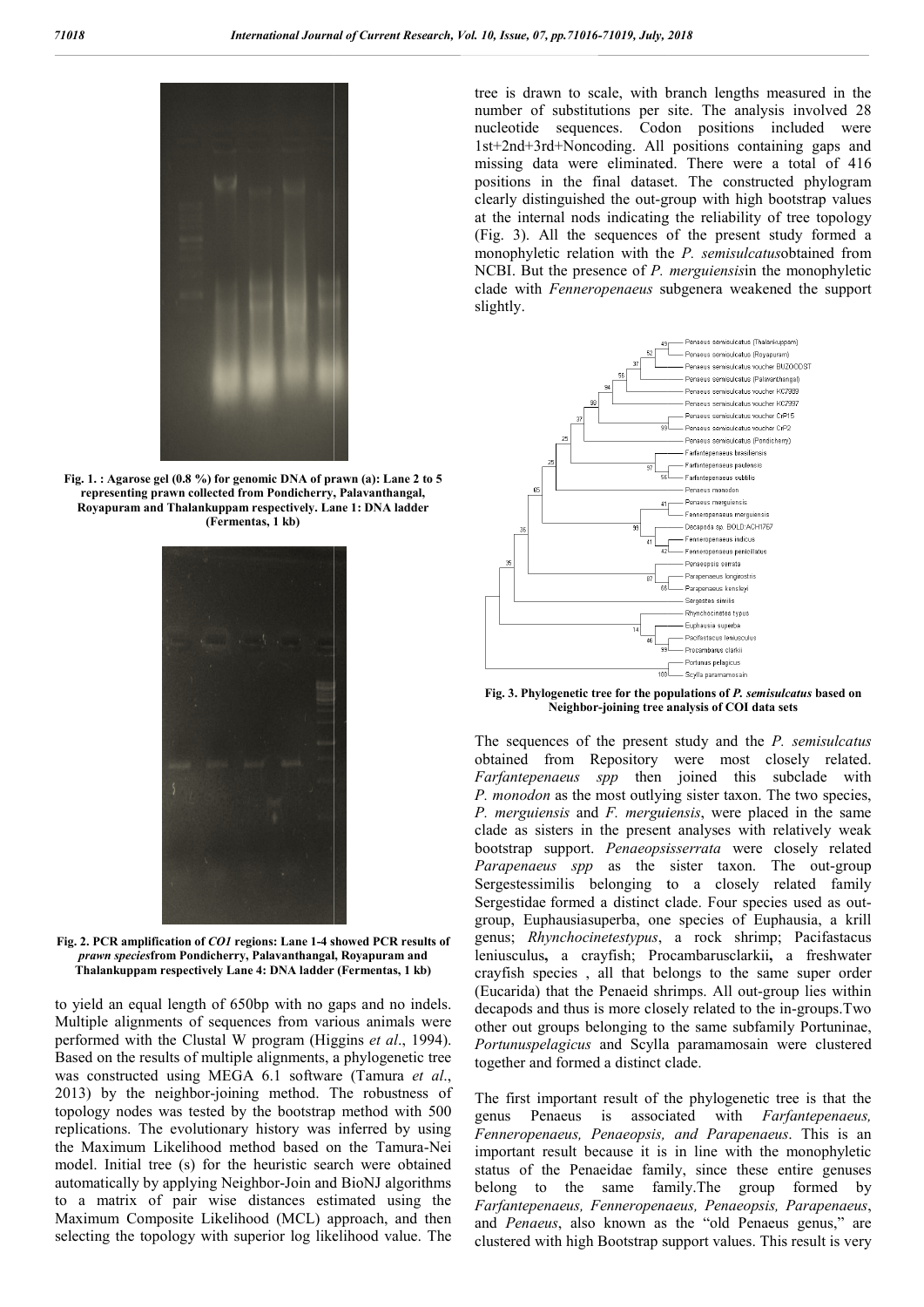

**Fig. 1. : Agarose gel (0.8 %) for genomic DNA of prawn (a): Lane 2 to 5 representing prawn collected from Pondicherry, Palavanthangal, Royapuram and Thalankuppam respectively. Lane 1: DNA ladder (Fermentas, 1 kb)**



**Fig. 2. PCR amplification of** *CO1* **regions: Lane 1-4 showed PCR results of**  *prawn species***from Pondicherry, Palavanthangal, Royapuram and Thalankuppam respectively Lane 4: DNA ladder (Fermentas, 1 kb)**

to yield an equal length of 650bp with no gaps and no indels. Multiple alignments of sequences from various animals were performed with the Clustal W program (Higgins *et al*., 1994). Based on the results of multiple alignments, a phylogenetic tree was constructed using MEGA 6.1 software (Tamura et al., 2013) by the neighbor-joining method. The robustness of topology nodes was tested by the bootstrap method with 500 replications. The evolutionary history was inferred by using the Maximum Likelihood method based on the Tamura model. Initial tree (s) for the heuristic search were obtained automatically by applying Neighbor-Join and BioNJ algorithms to a matrix of pair wise distances estimated using the Maximum Composite Likelihood (MCL) approach, and then selecting the topology with superior log likelihood value. The joining method. The robustness of<br>d by the bootstrap method with 500<br>onary history was inferred by using<br>d method based on the Tamura-Nei number of substitutions per site. The analysis involved 28 nucleotide sequences. Codon positions included were 1st+2nd+3rd+Noncoding. All positions containing gaps and missing data were eliminated. There were a total of 416 positions in the final dataset. The constructed phylogram clearly distinguished the out-group with high bootstrap values clearly distinguished the out-group with high bootstrap values<br>at the internal nods indicating the reliability of tree topology (Fig. 3). All the sequences of the present study formed a (Fig. 3). All the sequences of the present study formed a monophyletic relation with the *P*. *semisulcatus* obtained from NCBI. But the presence of *P. merguiensis merguiensis*in the monophyletic clade with **Fenneropenaeus** subgenera weakened the support slightly. In to scale, with branch lengths measured in the substitutions per site. The analysis involved 28 sequences. Codon positions included were +Noncoding. All positions containing gaps and were eliminated. There were a total



Fig. 3. Phylogenetic tree for the populations of *P. semisulcatus* based on **Neighbor-joining tree analysis of COI data sets** 

Join electron is determined the control of the scale of the scale of the scale of the scale of the scale of the scale of the scale of the scale of the scale of the scale of the scale of the scale of the scale of the scale The sequences of the present study and the *P. semisulcatus* obtained from Repository were most closely related. *Farfantepenaeus spp* then joined this subclade with *P. monodon* as the most outlying sister taxon. The two species, *P. merguiensis* and *F. merguiensis*, were placed in the same clade as sisters in the present analyses with relatively weak bootstrap support. *Penaeopsisserrata* were closely related *Parapenaeus spp* as the sister taxon. The out-group Sergestessimilis belonging to a closely related family Sergestidae formed a distinct clade. Four species used as out-Sergestidae formed a distinct clade. Four species used as out group, Euphausiasuperba, one species of Euphausia, a krill genus; *Rhynchocinetestypus*, a rock shrimp; Pacifastacus leniusculus**,** a crayfish; Procambarusclarkii **,** a freshwater crayfish species , all that belongs to the same super order crayfish species, all that belongs to the same super order (Eucarida) that the Penaeid shrimps. All out-group lies within decapods and thus is more closely related to the in-groups. Two other out groups belonging to the same subfamily Portuninae, *Portunuspelagicus* and Scylla paramamosain were clustered together and formed a distinct clade. Fortunuspelagicus and Scylla paramamosain were clustered<br>together and formed a distinct clade.<br>The first important result of the phylogenetic tree is that the<br>genus Penaeus is associated with *Farfantepenaeus*, from Repository were most closely r<br>*naeus spp* then joined this subclade<br>*n* as the most outlying sister taxon. The two s b, 2018<br>
1) branch lengths measured in<br>
1) circle. The analysis involved<br>
1.0 positions containing gaps<br>
1.4 positions containing gaps<br>
1.4 positions containing gaps<br>
1.4 positions containing gaps<br>
1.4 positions containin

The first important result of the phylogenetic tree is that the *Fenneropenaeus, Penaeopsis, and Parapenaeus Penaeopsis, Parapenaeus*. This is an important result because it is in line with the monophyletic status of the Penaeidae family, since these entire genuses belong to the same family.The group formed by *Farfantepenaeus, Fenneropena Fenneropenaeus, Penaeopsis, Parapenaeus*, and *Penaeus*, also known as the "old Penaeus genus," are clustered with high Bootstrap support values. This result is very at the result because it is in line with the monophy<br>of the Penaeidae family, since these entire ger<br>to the same family. The group formed